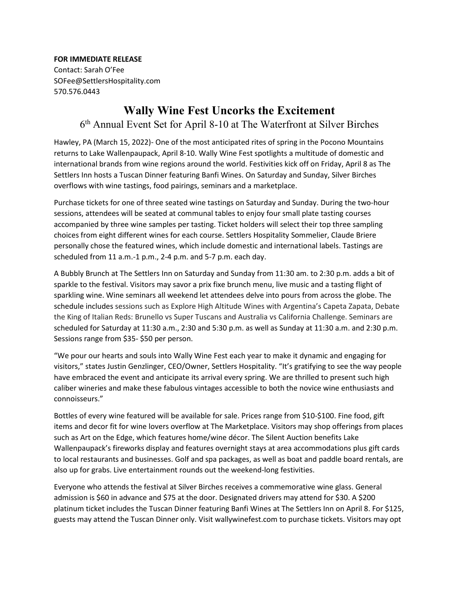**FOR IMMEDIATE RELEASE**

Contact: Sarah O'Fee SOFee@SettlersHospitality.com 570.576.0443

## **Wally Wine Fest Uncorks the Excitement**

## 6th Annual Event Set for April 8-10 at The Waterfront at Silver Birches

Hawley, PA (March 15, 2022)- One of the most anticipated rites of spring in the Pocono Mountains returns to Lake Wallenpaupack, April 8-10. Wally Wine Fest spotlights a multitude of domestic and international brands from wine regions around the world. Festivities kick off on Friday, April 8 as The Settlers Inn hosts a Tuscan Dinner featuring Banfi Wines. On Saturday and Sunday, Silver Birches overflows with wine tastings, food pairings, seminars and a marketplace.

Purchase tickets for one of three seated wine tastings on Saturday and Sunday. During the two-hour sessions, attendees will be seated at communal tables to enjoy four small plate tasting courses accompanied by three wine samples per tasting. Ticket holders will select their top three sampling choices from eight different wines for each course. Settlers Hospitality Sommelier, Claude Briere personally chose the featured wines, which include domestic and international labels. Tastings are scheduled from 11 a.m.-1 p.m., 2-4 p.m. and 5-7 p.m. each day.

A Bubbly Brunch at The Settlers Inn on Saturday and Sunday from 11:30 am. to 2:30 p.m. adds a bit of sparkle to the festival. Visitors may savor a prix fixe brunch menu, live music and a tasting flight of sparkling wine. Wine seminars all weekend let attendees delve into pours from across the globe. The schedule includes sessions such as Explore High Altitude Wines with Argentina's Capeta Zapata, Debate the King of Italian Reds: Brunello vs Super Tuscans and Australia vs California Challenge. Seminars are scheduled for Saturday at 11:30 a.m., 2:30 and 5:30 p.m. as well as Sunday at 11:30 a.m. and 2:30 p.m. Sessions range from \$35- \$50 per person.

"We pour our hearts and souls into Wally Wine Fest each year to make it dynamic and engaging for visitors," states Justin Genzlinger, CEO/Owner, Settlers Hospitality. "It's gratifying to see the way people have embraced the event and anticipate its arrival every spring. We are thrilled to present such high caliber wineries and make these fabulous vintages accessible to both the novice wine enthusiasts and connoisseurs."

Bottles of every wine featured will be available for sale. Prices range from \$10-\$100. Fine food, gift items and decor fit for wine lovers overflow at The Marketplace. Visitors may shop offerings from places such as Art on the Edge, which features home/wine décor. The Silent Auction benefits Lake Wallenpaupack's fireworks display and features overnight stays at area accommodations plus gift cards to local restaurants and businesses. Golf and spa packages, as well as boat and paddle board rentals, are also up for grabs. Live entertainment rounds out the weekend-long festivities.

Everyone who attends the festival at Silver Birches receives a commemorative wine glass. General admission is \$60 in advance and \$75 at the door. Designated drivers may attend for \$30. A \$200 platinum ticket includes the Tuscan Dinner featuring Banfi Wines at The Settlers Inn on April 8. For \$125, guests may attend the Tuscan Dinner only. Visit wallywinefest.com to purchase tickets. Visitors may opt